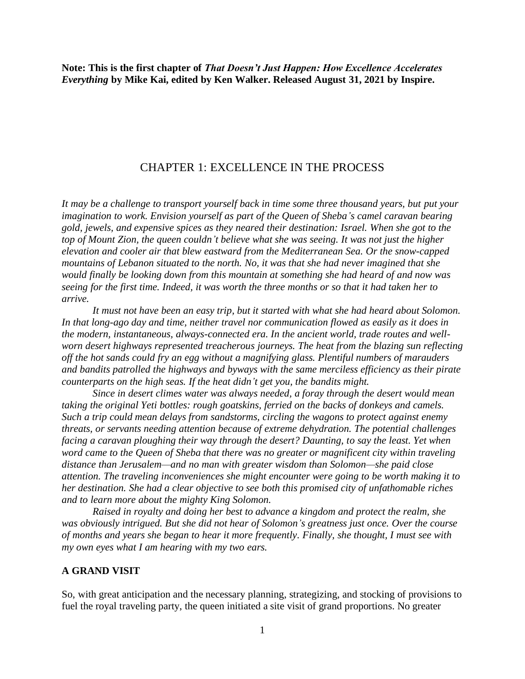**Note: This is the first chapter of** *That Doesn't Just Happen: How Excellence Accelerates Everything* **by Mike Kai, edited by Ken Walker. Released August 31, 2021 by Inspire.** 

# CHAPTER 1: EXCELLENCE IN THE PROCESS

*It may be a challenge to transport yourself back in time some three thousand years, but put your imagination to work. Envision yourself as part of the Queen of Sheba's camel caravan bearing gold, jewels, and expensive spices as they neared their destination: Israel. When she got to the top of Mount Zion, the queen couldn't believe what she was seeing. It was not just the higher elevation and cooler air that blew eastward from the Mediterranean Sea. Or the snow-capped mountains of Lebanon situated to the north. No, it was that she had never imagined that she would finally be looking down from this mountain at something she had heard of and now was seeing for the first time. Indeed, it was worth the three months or so that it had taken her to arrive.* 

*It must not have been an easy trip, but it started with what she had heard about Solomon. In that long-ago day and time, neither travel nor communication flowed as easily as it does in the modern, instantaneous, always-connected era. In the ancient world, trade routes and wellworn desert highways represented treacherous journeys. The heat from the blazing sun reflecting off the hot sands could fry an egg without a magnifying glass. Plentiful numbers of marauders and bandits patrolled the highways and byways with the same merciless efficiency as their pirate counterparts on the high seas. If the heat didn't get you, the bandits might.* 

*Since in desert climes water was always needed, a foray through the desert would mean taking the original Yeti bottles: rough goatskins, ferried on the backs of donkeys and camels. Such a trip could mean delays from sandstorms, circling the wagons to protect against enemy threats, or servants needing attention because of extreme dehydration. The potential challenges facing a caravan ploughing their way through the desert? Daunting, to say the least. Yet when word came to the Queen of Sheba that there was no greater or magnificent city within traveling distance than Jerusalem—and no man with greater wisdom than Solomon—she paid close attention. The traveling inconveniences she might encounter were going to be worth making it to her destination. She had a clear objective to see both this promised city of unfathomable riches and to learn more about the mighty King Solomon.*

*Raised in royalty and doing her best to advance a kingdom and protect the realm, she was obviously intrigued. But she did not hear of Solomon's greatness just once. Over the course of months and years she began to hear it more frequently. Finally, she thought, I must see with my own eyes what I am hearing with my two ears.*

### **A GRAND VISIT**

So, with great anticipation and the necessary planning, strategizing, and stocking of provisions to fuel the royal traveling party, the queen initiated a site visit of grand proportions. No greater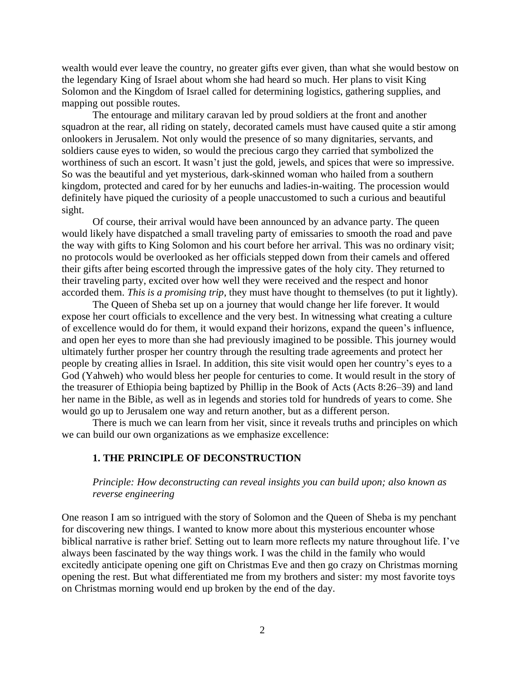wealth would ever leave the country, no greater gifts ever given, than what she would bestow on the legendary King of Israel about whom she had heard so much. Her plans to visit King Solomon and the Kingdom of Israel called for determining logistics, gathering supplies, and mapping out possible routes.

The entourage and military caravan led by proud soldiers at the front and another squadron at the rear, all riding on stately, decorated camels must have caused quite a stir among onlookers in Jerusalem. Not only would the presence of so many dignitaries, servants, and soldiers cause eyes to widen, so would the precious cargo they carried that symbolized the worthiness of such an escort. It wasn't just the gold, jewels, and spices that were so impressive. So was the beautiful and yet mysterious, dark-skinned woman who hailed from a southern kingdom, protected and cared for by her eunuchs and ladies-in-waiting. The procession would definitely have piqued the curiosity of a people unaccustomed to such a curious and beautiful sight.

Of course, their arrival would have been announced by an advance party. The queen would likely have dispatched a small traveling party of emissaries to smooth the road and pave the way with gifts to King Solomon and his court before her arrival. This was no ordinary visit; no protocols would be overlooked as her officials stepped down from their camels and offered their gifts after being escorted through the impressive gates of the holy city. They returned to their traveling party, excited over how well they were received and the respect and honor accorded them. *This is a promising trip*, they must have thought to themselves (to put it lightly).

The Queen of Sheba set up on a journey that would change her life forever. It would expose her court officials to excellence and the very best. In witnessing what creating a culture of excellence would do for them, it would expand their horizons, expand the queen's influence, and open her eyes to more than she had previously imagined to be possible. This journey would ultimately further prosper her country through the resulting trade agreements and protect her people by creating allies in Israel. In addition, this site visit would open her country's eyes to a God (Yahweh) who would bless her people for centuries to come. It would result in the story of the treasurer of Ethiopia being baptized by Phillip in the Book of Acts (Acts 8:26–39) and land her name in the Bible, as well as in legends and stories told for hundreds of years to come. She would go up to Jerusalem one way and return another, but as a different person.

There is much we can learn from her visit, since it reveals truths and principles on which we can build our own organizations as we emphasize excellence:

## **1. THE PRINCIPLE OF DECONSTRUCTION**

*Principle: How deconstructing can reveal insights you can build upon; also known as reverse engineering*

One reason I am so intrigued with the story of Solomon and the Queen of Sheba is my penchant for discovering new things. I wanted to know more about this mysterious encounter whose biblical narrative is rather brief. Setting out to learn more reflects my nature throughout life. I've always been fascinated by the way things work. I was the child in the family who would excitedly anticipate opening one gift on Christmas Eve and then go crazy on Christmas morning opening the rest. But what differentiated me from my brothers and sister: my most favorite toys on Christmas morning would end up broken by the end of the day.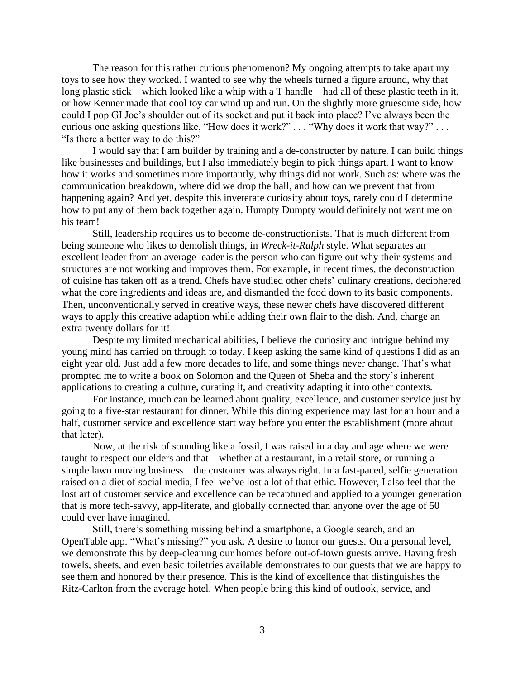The reason for this rather curious phenomenon? My ongoing attempts to take apart my toys to see how they worked. I wanted to see why the wheels turned a figure around, why that long plastic stick—which looked like a whip with a T handle—had all of these plastic teeth in it, or how Kenner made that cool toy car wind up and run. On the slightly more gruesome side, how could I pop GI Joe's shoulder out of its socket and put it back into place? I've always been the curious one asking questions like, "How does it work?" . . . "Why does it work that way?" . . . "Is there a better way to do this?"

I would say that I am builder by training and a de-constructer by nature. I can build things like businesses and buildings, but I also immediately begin to pick things apart. I want to know how it works and sometimes more importantly, why things did not work. Such as: where was the communication breakdown, where did we drop the ball, and how can we prevent that from happening again? And yet, despite this inveterate curiosity about toys, rarely could I determine how to put any of them back together again. Humpty Dumpty would definitely not want me on his team!

Still, leadership requires us to become de-constructionists. That is much different from being someone who likes to demolish things, in *Wreck-it-Ralph* style. What separates an excellent leader from an average leader is the person who can figure out why their systems and structures are not working and improves them. For example, in recent times, the deconstruction of cuisine has taken off as a trend. Chefs have studied other chefs' culinary creations, deciphered what the core ingredients and ideas are, and dismantled the food down to its basic components. Then, unconventionally served in creative ways, these newer chefs have discovered different ways to apply this creative adaption while adding their own flair to the dish. And, charge an extra twenty dollars for it!

Despite my limited mechanical abilities, I believe the curiosity and intrigue behind my young mind has carried on through to today. I keep asking the same kind of questions I did as an eight year old. Just add a few more decades to life, and some things never change. That's what prompted me to write a book on Solomon and the Queen of Sheba and the story's inherent applications to creating a culture, curating it, and creativity adapting it into other contexts.

For instance, much can be learned about quality, excellence, and customer service just by going to a five-star restaurant for dinner. While this dining experience may last for an hour and a half, customer service and excellence start way before you enter the establishment (more about that later).

Now, at the risk of sounding like a fossil, I was raised in a day and age where we were taught to respect our elders and that—whether at a restaurant, in a retail store, or running a simple lawn moving business—the customer was always right. In a fast-paced, selfie generation raised on a diet of social media, I feel we've lost a lot of that ethic. However, I also feel that the lost art of customer service and excellence can be recaptured and applied to a younger generation that is more tech-savvy, app-literate, and globally connected than anyone over the age of 50 could ever have imagined.

Still, there's something missing behind a smartphone, a Google search, and an OpenTable app. "What's missing?" you ask. A desire to honor our guests. On a personal level, we demonstrate this by deep-cleaning our homes before out-of-town guests arrive. Having fresh towels, sheets, and even basic toiletries available demonstrates to our guests that we are happy to see them and honored by their presence. This is the kind of excellence that distinguishes the Ritz-Carlton from the average hotel. When people bring this kind of outlook, service, and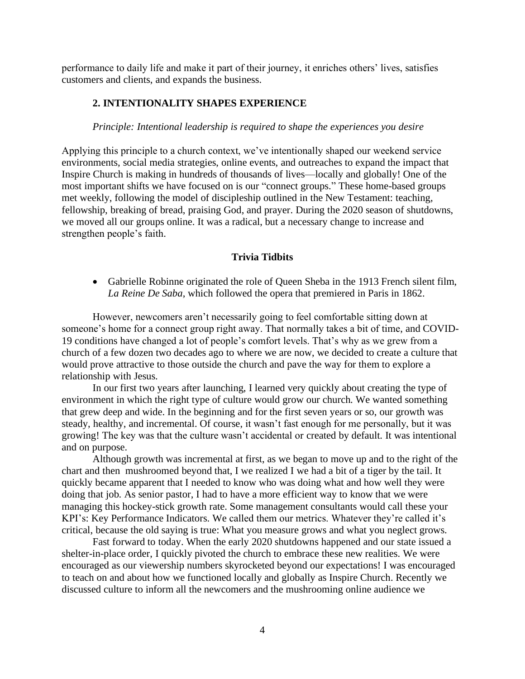performance to daily life and make it part of their journey, it enriches others' lives, satisfies customers and clients, and expands the business.

#### **2. INTENTIONALITY SHAPES EXPERIENCE**

#### *Principle: Intentional leadership is required to shape the experiences you desire*

Applying this principle to a church context, we've intentionally shaped our weekend service environments, social media strategies, online events, and outreaches to expand the impact that Inspire Church is making in hundreds of thousands of lives—locally and globally! One of the most important shifts we have focused on is our "connect groups." These home-based groups met weekly, following the model of discipleship outlined in the New Testament: teaching, fellowship, breaking of bread, praising God, and prayer. During the 2020 season of shutdowns, we moved all our groups online. It was a radical, but a necessary change to increase and strengthen people's faith.

#### **Trivia Tidbits**

• Gabrielle Robinne originated the role of Queen Sheba in the 1913 French silent film, *La Reine De Saba*, which followed the opera that premiered in Paris in 1862.

However, newcomers aren't necessarily going to feel comfortable sitting down at someone's home for a connect group right away. That normally takes a bit of time, and COVID-19 conditions have changed a lot of people's comfort levels. That's why as we grew from a church of a few dozen two decades ago to where we are now, we decided to create a culture that would prove attractive to those outside the church and pave the way for them to explore a relationship with Jesus.

In our first two years after launching, I learned very quickly about creating the type of environment in which the right type of culture would grow our church. We wanted something that grew deep and wide. In the beginning and for the first seven years or so, our growth was steady, healthy, and incremental. Of course, it wasn't fast enough for me personally, but it was growing! The key was that the culture wasn't accidental or created by default. It was intentional and on purpose.

Although growth was incremental at first, as we began to move up and to the right of the chart and then mushroomed beyond that, I we realized I we had a bit of a tiger by the tail. It quickly became apparent that I needed to know who was doing what and how well they were doing that job. As senior pastor, I had to have a more efficient way to know that we were managing this hockey-stick growth rate. Some management consultants would call these your KPI's: Key Performance Indicators. We called them our metrics. Whatever they're called it's critical, because the old saying is true: What you measure grows and what you neglect grows.

Fast forward to today. When the early 2020 shutdowns happened and our state issued a shelter-in-place order, I quickly pivoted the church to embrace these new realities. We were encouraged as our viewership numbers skyrocketed beyond our expectations! I was encouraged to teach on and about how we functioned locally and globally as Inspire Church. Recently we discussed culture to inform all the newcomers and the mushrooming online audience we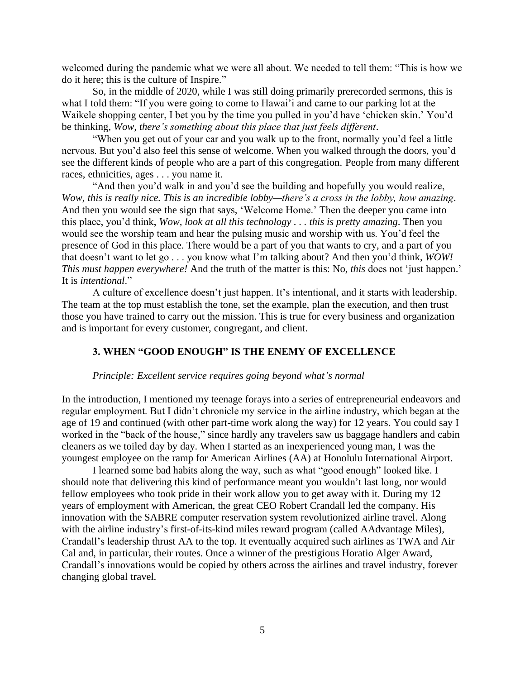welcomed during the pandemic what we were all about. We needed to tell them: "This is how we do it here; this is the culture of Inspire."

So, in the middle of 2020, while I was still doing primarily prerecorded sermons, this is what I told them: "If you were going to come to Hawai'i and came to our parking lot at the Waikele shopping center, I bet you by the time you pulled in you'd have 'chicken skin.' You'd be thinking, *Wow, there's something about this place that just feels different*.

"When you get out of your car and you walk up to the front, normally you'd feel a little nervous. But you'd also feel this sense of welcome. When you walked through the doors, you'd see the different kinds of people who are a part of this congregation. People from many different races, ethnicities, ages . . . you name it.

"And then you'd walk in and you'd see the building and hopefully you would realize, *Wow, this is really nice*. *This is an incredible lobby—there's a cross in the lobby, how amazing*. And then you would see the sign that says, 'Welcome Home.' Then the deeper you came into this place, you'd think, *Wow, look at all this technology . . . this is pretty amazing*. Then you would see the worship team and hear the pulsing music and worship with us. You'd feel the presence of God in this place. There would be a part of you that wants to cry, and a part of you that doesn't want to let go . . . you know what I'm talking about? And then you'd think, *WOW! This must happen everywhere!* And the truth of the matter is this: No, *this* does not 'just happen.' It is *intentional*."

A culture of excellence doesn't just happen. It's intentional, and it starts with leadership. The team at the top must establish the tone, set the example, plan the execution, and then trust those you have trained to carry out the mission. This is true for every business and organization and is important for every customer, congregant, and client.

#### **3. WHEN "GOOD ENOUGH" IS THE ENEMY OF EXCELLENCE**

#### *Principle: Excellent service requires going beyond what's normal*

In the introduction, I mentioned my teenage forays into a series of entrepreneurial endeavors and regular employment. But I didn't chronicle my service in the airline industry, which began at the age of 19 and continued (with other part-time work along the way) for 12 years. You could say I worked in the "back of the house," since hardly any travelers saw us baggage handlers and cabin cleaners as we toiled day by day. When I started as an inexperienced young man, I was the youngest employee on the ramp for American Airlines (AA) at Honolulu International Airport.

I learned some bad habits along the way, such as what "good enough" looked like. I should note that delivering this kind of performance meant you wouldn't last long, nor would fellow employees who took pride in their work allow you to get away with it. During my 12 years of employment with American, the great CEO Robert Crandall led the company. His innovation with the SABRE computer reservation system revolutionized airline travel. Along with the airline industry's first-of-its-kind miles reward program (called AAdvantage Miles), Crandall's leadership thrust AA to the top. It eventually acquired such airlines as TWA and Air Cal and, in particular, their routes. Once a winner of the prestigious Horatio Alger Award, Crandall's innovations would be copied by others across the airlines and travel industry, forever changing global travel.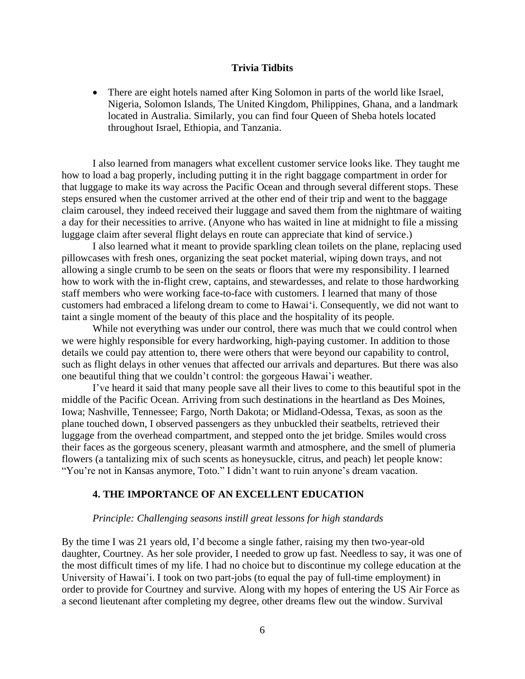### **Trivia Tidbits**

• There are eight hotels named after King Solomon in parts of the world like Israel, Nigeria, Solomon Islands, The United Kingdom, Philippines, Ghana, and a landmark located in Australia. Similarly, you can find four Queen of Sheba hotels located throughout Israel, Ethiopia, and Tanzania.

I also learned from managers what excellent customer service looks like. They taught me how to load a bag properly, including putting it in the right baggage compartment in order for that luggage to make its way across the Pacific Ocean and through several different stops. These steps ensured when the customer arrived at the other end of their trip and went to the baggage claim carousel, they indeed received their luggage and saved them from the nightmare of waiting a day for their necessities to arrive. (Anyone who has waited in line at midnight to file a missing luggage claim after several flight delays en route can appreciate that kind of service.)

I also learned what it meant to provide sparkling clean toilets on the plane, replacing used pillowcases with fresh ones, organizing the seat pocket material, wiping down trays, and not allowing a single crumb to be seen on the seats or floors that were my responsibility. I learned how to work with the in-flight crew, captains, and stewardesses, and relate to those hardworking staff members who were working face-to-face with customers. I learned that many of those customers had embraced a lifelong dream to come to Hawai'i. Consequently, we did not want to taint a single moment of the beauty of this place and the hospitality of its people.

While not everything was under our control, there was much that we could control when we were highly responsible for every hardworking, high-paying customer. In addition to those details we could pay attention to, there were others that were beyond our capability to control, such as flight delays in other venues that affected our arrivals and departures. But there was also one beautiful thing that we couldn't control: the gorgeous Hawai'i weather.

I've heard it said that many people save all their lives to come to this beautiful spot in the middle of the Pacific Ocean. Arriving from such destinations in the heartland as Des Moines, Iowa; Nashville, Tennessee; Fargo, North Dakota; or Midland-Odessa, Texas, as soon as the plane touched down, I observed passengers as they unbuckled their seatbelts, retrieved their luggage from the overhead compartment, and stepped onto the jet bridge. Smiles would cross their faces as the gorgeous scenery, pleasant warmth and atmosphere, and the smell of plumeria flowers (a tantalizing mix of such scents as honeysuckle, citrus, and peach) let people know: "You're not in Kansas anymore, Toto." I didn't want to ruin anyone's dream vacation.

### **4. THE IMPORTANCE OF AN EXCELLENT EDUCATION**

#### *Principle: Challenging seasons instill great lessons for high standards*

By the time I was 21 years old, I'd become a single father, raising my then two-year-old daughter, Courtney. As her sole provider, I needed to grow up fast. Needless to say, it was one of the most difficult times of my life. I had no choice but to discontinue my college education at the University of Hawai'i. I took on two part-jobs (to equal the pay of full-time employment) in order to provide for Courtney and survive. Along with my hopes of entering the US Air Force as a second lieutenant after completing my degree, other dreams flew out the window. Survival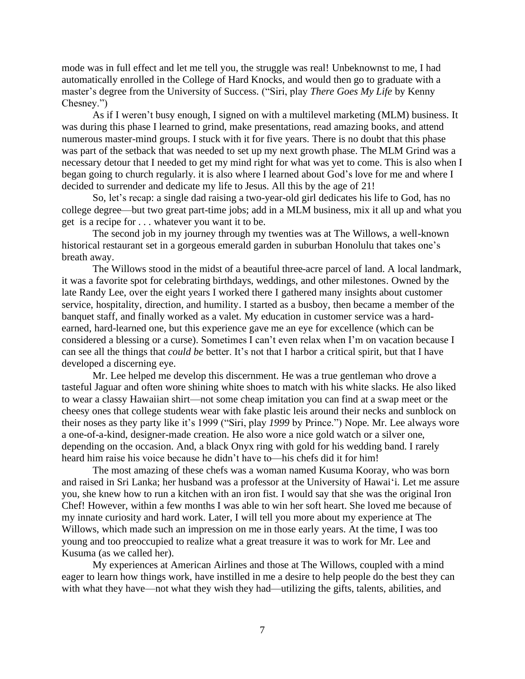mode was in full effect and let me tell you, the struggle was real! Unbeknownst to me, I had automatically enrolled in the College of Hard Knocks, and would then go to graduate with a master's degree from the University of Success. ("Siri, play *There Goes My Life* by Kenny Chesney.")

As if I weren't busy enough, I signed on with a multilevel marketing (MLM) business. It was during this phase I learned to grind, make presentations, read amazing books, and attend numerous master-mind groups. I stuck with it for five years. There is no doubt that this phase was part of the setback that was needed to set up my next growth phase. The MLM Grind was a necessary detour that I needed to get my mind right for what was yet to come. This is also when I began going to church regularly. it is also where I learned about God's love for me and where I decided to surrender and dedicate my life to Jesus. All this by the age of 21!

So, let's recap: a single dad raising a two-year-old girl dedicates his life to God, has no college degree—but two great part-time jobs; add in a MLM business, mix it all up and what you get is a recipe for . . . whatever you want it to be.

The second job in my journey through my twenties was at The Willows, a well-known historical restaurant set in a gorgeous emerald garden in suburban Honolulu that takes one's breath away.

The Willows stood in the midst of a beautiful three-acre parcel of land. A local landmark, it was a favorite spot for celebrating birthdays, weddings, and other milestones. Owned by the late Randy Lee, over the eight years I worked there I gathered many insights about customer service, hospitality, direction, and humility. I started as a busboy, then became a member of the banquet staff, and finally worked as a valet. My education in customer service was a hardearned, hard-learned one, but this experience gave me an eye for excellence (which can be considered a blessing or a curse). Sometimes I can't even relax when I'm on vacation because I can see all the things that *could be* better. It's not that I harbor a critical spirit, but that I have developed a discerning eye.

Mr. Lee helped me develop this discernment. He was a true gentleman who drove a tasteful Jaguar and often wore shining white shoes to match with his white slacks. He also liked to wear a classy Hawaiian shirt—not some cheap imitation you can find at a swap meet or the cheesy ones that college students wear with fake plastic leis around their necks and sunblock on their noses as they party like it's 1999 ("Siri, play *1999* by Prince.") Nope. Mr. Lee always wore a one-of-a-kind, designer-made creation. He also wore a nice gold watch or a silver one, depending on the occasion. And, a black Onyx ring with gold for his wedding band. I rarely heard him raise his voice because he didn't have to—his chefs did it for him!

The most amazing of these chefs was a woman named Kusuma Kooray, who was born and raised in Sri Lanka; her husband was a professor at the University of Hawai'i. Let me assure you, she knew how to run a kitchen with an iron fist. I would say that she was the original Iron Chef! However, within a few months I was able to win her soft heart. She loved me because of my innate curiosity and hard work. Later, I will tell you more about my experience at The Willows, which made such an impression on me in those early years. At the time, I was too young and too preoccupied to realize what a great treasure it was to work for Mr. Lee and Kusuma (as we called her).

My experiences at American Airlines and those at The Willows, coupled with a mind eager to learn how things work, have instilled in me a desire to help people do the best they can with what they have—not what they wish they had—utilizing the gifts, talents, abilities, and